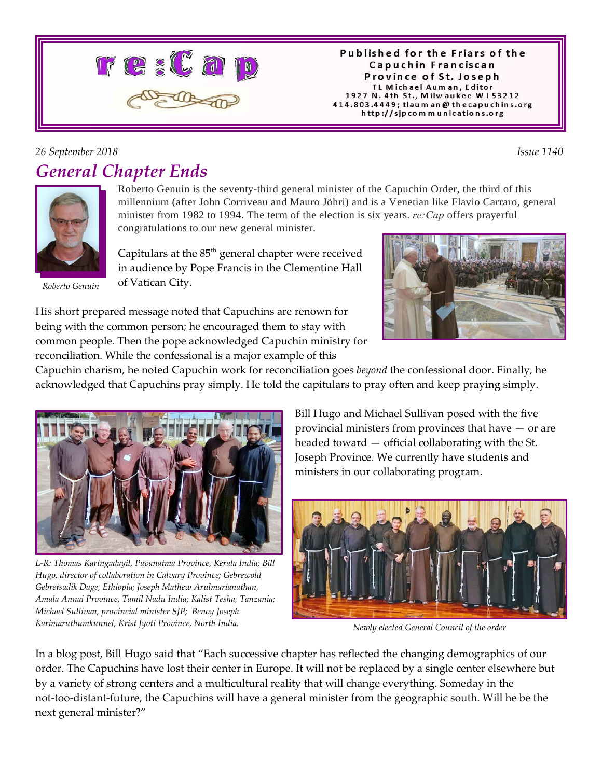

#### Published for the Friars of the Capuchin Franciscan Province of St. Joseph TL Michael Auman, Editor 1927 N. 4th St., Milwaukee W153212 414.803.4449; tlaum an @ thecapuchins.org http://sjpcommunications.org

### *26 September 2018 Issue 1140 General Chapter Ends*



*Roberto Genuin*

Roberto Genuin is the seventy-third general minister of the Capuchin Order, the third of this millennium (after John Corriveau and Mauro Jöhri) and is a Venetian like Flavio Carraro, general minister from 1982 to 1994. The term of the election is six years. *re:Cap* offers prayerful congratulations to our new general minister.

Capitulars at the  $85<sup>th</sup>$  general chapter were received in audience by Pope Francis in the Clementine Hall of Vatican City.



His short prepared message noted that Capuchins are renown for being with the common person; he encouraged them to stay with common people. Then the pope acknowledged Capuchin ministry for reconciliation. While the confessional is a major example of this

Capuchin charism, he noted Capuchin work for reconciliation goes *beyond* the confessional door. Finally, he acknowledged that Capuchins pray simply. He told the capitulars to pray often and keep praying simply.



*L-R: Thomas Karingadayil, Pavanatma Province, Kerala India; Bill Hugo, director of collaboration in Calvary Province; Gebrewold Gebretsadik Dage, Ethiopia; Joseph Mathew Arulmarianathan, Amala Annai Province, Tamil Nadu India; Kalist Tesha, Tanzania; Michael Sullivan, provincial minister SJP; Benoy Joseph Karimaruthumkunnel, Krist Jyoti Province, North India. Newly elected General Council of the order*

Bill Hugo and Michael Sullivan posed with the five provincial ministers from provinces that have — or are headed toward — official collaborating with the St. Joseph Province. We currently have students and ministers in our collaborating program.



In a blog post, Bill Hugo said that "Each successive chapter has reflected the changing demographics of our order. The Capuchins have lost their center in Europe. It will not be replaced by a single center elsewhere but by a variety of strong centers and a multicultural reality that will change everything. Someday in the not-too-distant-future, the Capuchins will have a general minister from the geographic south. Will he be the next general minister?"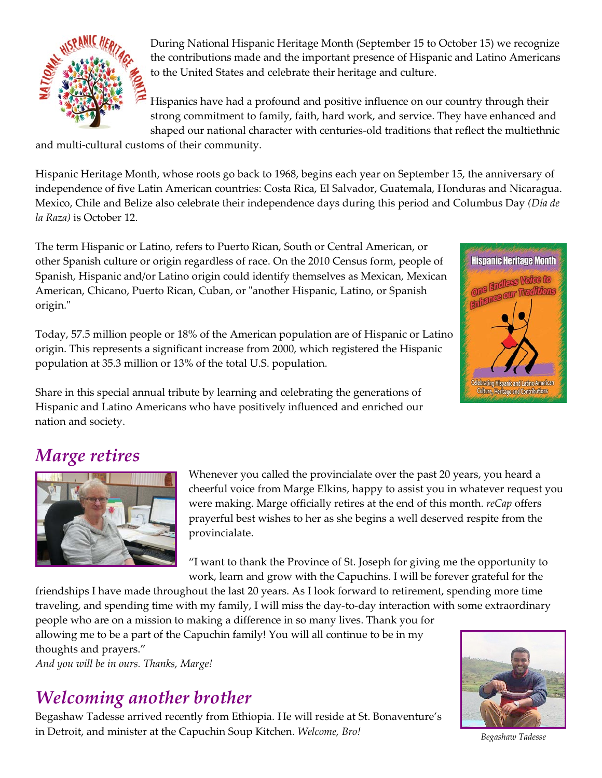

During National Hispanic Heritage Month (September 15 to October 15) we recognize the contributions made and the important presence of Hispanic and Latino Americans to the United States and celebrate their heritage and culture.

Hispanics have had a profound and positive influence on our country through their strong commitment to family, faith, hard work, and service. They have enhanced and shaped our national character with centuries-old traditions that reflect the multiethnic

and multi-cultural customs of their community.

Hispanic Heritage Month, whose roots go back to 1968, begins each year on September 15, the anniversary of independence of five Latin American countries: Costa Rica, El Salvador, Guatemala, Honduras and Nicaragua. Mexico, Chile and Belize also celebrate their independence days during this period and Columbus Day *(Día de la Raza)* is October 12.

The term Hispanic or Latino, refers to Puerto Rican, South or Central American, or other Spanish culture or origin regardless of race. On the 2010 Census form, people of Spanish, Hispanic and/or Latino origin could identify themselves as Mexican, Mexican American, Chicano, Puerto Rican, Cuban, or "another Hispanic, Latino, or Spanish origin."

Today, 57.5 million people or 18% of the American population are of Hispanic or Latino origin. This represents a significant increase from 2000, which registered the Hispanic population at 35.3 million or 13% of the total U.S. population.

Share in this special annual tribute by learning and celebrating the generations of Hispanic and Latino Americans who have positively influenced and enriched our nation and society.



# *Marge retires*



Whenever you called the provincialate over the past 20 years, you heard a cheerful voice from Marge Elkins, happy to assist you in whatever request you were making. Marge officially retires at the end of this month. *reCap* offers prayerful best wishes to her as she begins a well deserved respite from the provincialate.

"I want to thank the Province of St. Joseph for giving me the opportunity to work, learn and grow with the Capuchins. I will be forever grateful for the

friendships I have made throughout the last 20 years. As I look forward to retirement, spending more time traveling, and spending time with my family, I will miss the day-to-day interaction with some extraordinary

people who are on a mission to making a difference in so many lives. Thank you for allowing me to be a part of the Capuchin family! You will all continue to be in my thoughts and prayers."

*And you will be in ours. Thanks, Marge!*

## *Welcoming another brother*

Begashaw Tadesse arrived recently from Ethiopia. He will reside at St. Bonaventure's in Detroit, and minister at the Capuchin Soup Kitchen. *Welcome, Bro!*



*Begashaw Tadesse*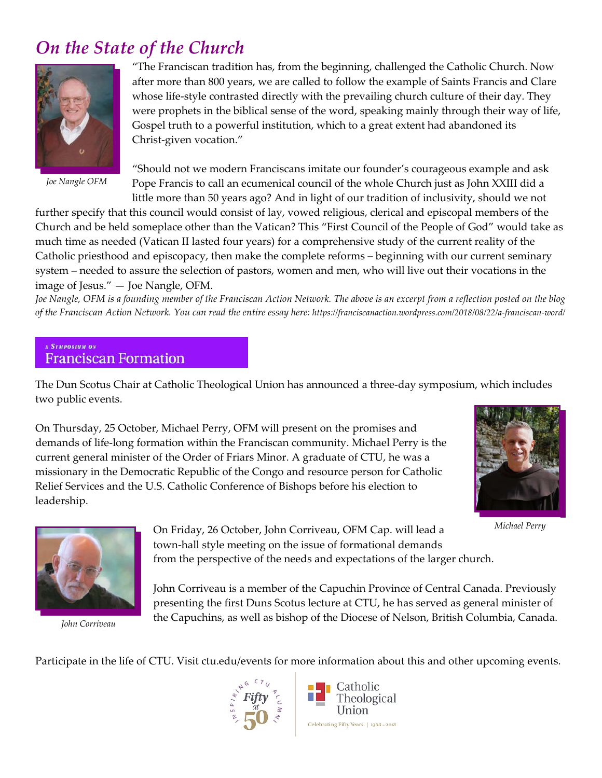## *On the State of the Church*



*Joe Nangle OFM* 

"The Franciscan tradition has, from the beginning, challenged the Catholic Church. Now after more than 800 years, we are called to follow the example of Saints Francis and Clare whose life-style contrasted directly with the prevailing church culture of their day. They were prophets in the biblical sense of the word, speaking mainly through their way of life, Gospel truth to a powerful institution, which to a great extent had abandoned its Christ-given vocation."

"Should not we modern Franciscans imitate our founder's courageous example and ask Pope Francis to call an ecumenical council of the whole Church just as John XXIII did a little more than 50 years ago? And in light of our tradition of inclusivity, should we not

further specify that this council would consist of lay, vowed religious, clerical and episcopal members of the Church and be held someplace other than the Vatican? This "First Council of the People of God" would take as much time as needed (Vatican II lasted four years) for a comprehensive study of the current reality of the Catholic priesthood and episcopacy, then make the complete reforms – beginning with our current seminary system – needed to assure the selection of pastors, women and men, who will live out their vocations in the image of Jesus." — Joe Nangle, OFM.

*Joe Nangle, OFM is a founding member of the Franciscan Action Network. The above is an excerpt from a reflection posted on the blog of the Franciscan Action Network. You can read the entire essay here: https://franciscanaction.wordpress.com/2018/08/22/a-franciscan-word/*

#### A Sympasium an **Franciscan Formation**

The Dun Scotus Chair at Catholic Theological Union has announced a three-day symposium, which includes two public events.

On Thursday, 25 October, Michael Perry, OFM will present on the promises and demands of life-long formation within the Franciscan community. Michael Perry is the current general minister of the Order of Friars Minor. A graduate of CTU, he was a missionary in the Democratic Republic of the Congo and resource person for Catholic Relief Services and the U.S. Catholic Conference of Bishops before his election to leadership.



*Michael Perry*



*John Corriveau*

On Friday, 26 October, John Corriveau, OFM Cap. will lead a town-hall style meeting on the issue of formational demands from the perspective of the needs and expectations of the larger church.

John Corriveau is a member of the Capuchin Province of Central Canada. Previously presenting the first Duns Scotus lecture at CTU, he has served as general minister of the Capuchins, as well as bishop of the Diocese of Nelson, British Columbia, Canada.

Participate in the life of CTU. Visit ctu.edu/events for more information about this and other upcoming events.